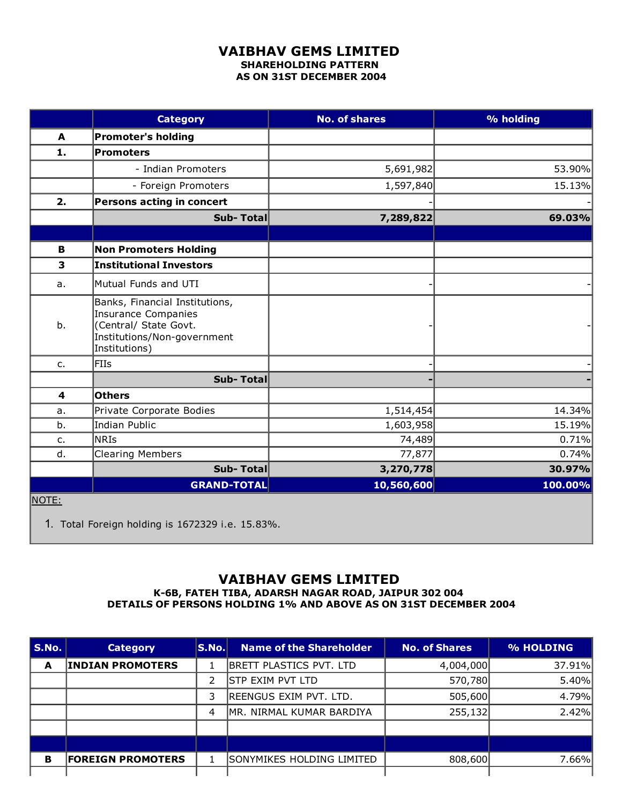## VAIBHAV GEMS LIMITED SHAREHOLDING PATTERN AS ON 31ST DECEMBER 2004

|                         | <b>Category</b>                                                                                                                       | <b>No. of shares</b> | % holding |
|-------------------------|---------------------------------------------------------------------------------------------------------------------------------------|----------------------|-----------|
| A                       | <b>Promoter's holding</b>                                                                                                             |                      |           |
| 1.                      | <b>Promoters</b>                                                                                                                      |                      |           |
|                         | - Indian Promoters                                                                                                                    | 5,691,982            | 53.90%    |
|                         | - Foreign Promoters                                                                                                                   | 1,597,840            | 15.13%    |
| 2.                      | Persons acting in concert                                                                                                             |                      |           |
|                         | Sub-Total                                                                                                                             | 7,289,822            | 69.03%    |
|                         |                                                                                                                                       |                      |           |
| В                       | <b>Non Promoters Holding</b>                                                                                                          |                      |           |
| $\overline{\mathbf{3}}$ | <b>Institutional Investors</b>                                                                                                        |                      |           |
| a.                      | Mutual Funds and UTI                                                                                                                  |                      |           |
| b.                      | Banks, Financial Institutions,<br><b>Insurance Companies</b><br>(Central/ State Govt.<br>Institutions/Non-government<br>Institutions) |                      |           |
| c.                      | FIIs                                                                                                                                  |                      |           |
|                         | Sub-Total                                                                                                                             |                      |           |
| 4                       | <b>Others</b>                                                                                                                         |                      |           |
| a.                      | Private Corporate Bodies                                                                                                              | 1,514,454            | 14.34%    |
| b.                      | Indian Public                                                                                                                         | 1,603,958            | 15.19%    |
| c.                      | NRIs                                                                                                                                  | 74,489               | 0.71%     |
| d.                      | <b>Clearing Members</b>                                                                                                               | 77,877               | 0.74%     |
|                         | Sub-Total                                                                                                                             | 3,270,778            | 30.97%    |
|                         | <b>GRAND-TOTAL</b>                                                                                                                    | 10,560,600           | 100.00%   |
| NOTE:                   |                                                                                                                                       |                      |           |

1. Total Foreign holding is 1672329 i.e. 15.83%.

## VAIBHAV GEMS LIMITED

K6B, FATEH TIBA, ADARSH NAGAR ROAD, JAIPUR 302 004 DETAILS OF PERSONS HOLDING 1% AND ABOVE AS ON 31ST DECEMBER 2004

| S.No. | <b>Category</b>          | S.No. | <b>Name of the Shareholder</b> | <b>No. of Shares</b> | % HOLDING |
|-------|--------------------------|-------|--------------------------------|----------------------|-----------|
| A     | <b>INDIAN PROMOTERS</b>  |       | BRETT PLASTICS PVT. LTD        | 4,004,000            | 37.91%    |
|       |                          | 2     | <b>STP EXIM PVT LTD</b>        | 570,780              | 5.40%     |
|       |                          | 3     | REENGUS EXIM PVT. LTD.         | 505,600              | 4.79%     |
|       |                          | 4     | MR. NIRMAL KUMAR BARDIYA       | 255,132              | 2.42%     |
|       |                          |       |                                |                      |           |
|       |                          |       |                                |                      |           |
| в     | <b>FOREIGN PROMOTERS</b> |       | SONYMIKES HOLDING LIMITED      | 808,600              | 7.66%     |
|       |                          |       |                                |                      |           |